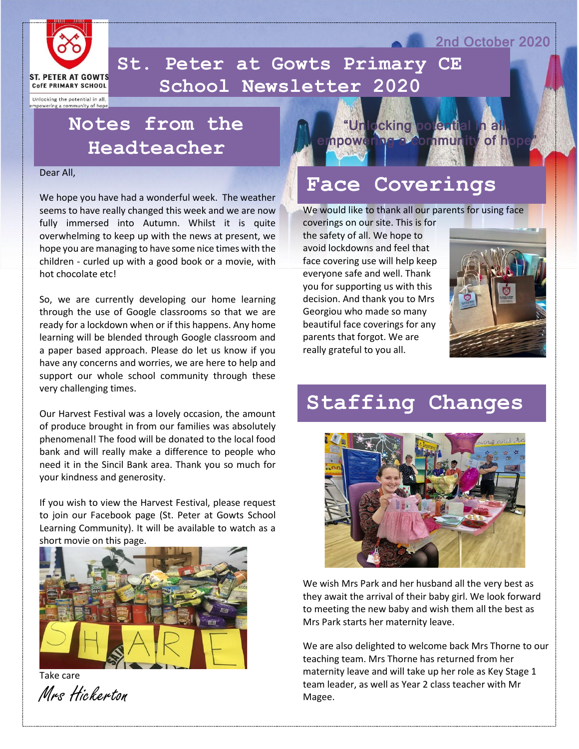

 **School Newsletter 2020St. Peter at Gowts Primary CE** 

Unlocking the potential in all, empowering a community of hope

## **Notes from the Headteacher**

#### Dear All,

We hope you have had a wonderful week. The weather seems to have really changed this week and we are now fully immersed into Autumn. Whilst it is quite overwhelming to keep up with the news at present, we hope you are managing to have some nice times with the children - curled up with a good book or a movie, with hot chocolate etc!

So, we are currently developing our home learning through the use of Google classrooms so that we are ready for a lockdown when or if this happens. Any home learning will be blended through Google classroom and a paper based approach. Please do let us know if you have any concerns and worries, we are here to help and support our whole school community through these very challenging times.

Our Harvest Festival was a lovely occasion, the amount of produce brought in from our families was absolutely phenomenal! The food will be donated to the local food bank and will really make a difference to people who need it in the Sincil Bank area. Thank you so much for your kindness and generosity.

If you wish to view the Harvest Festival, please request to join our Facebook page (St. Peter at Gowts School Learning Community). It will be available to watch as a short movie on this page.



Take care Mrs Hickerton



#### **Face Coverings**

We would like to thank all our parents for using face

coverings on our site. This is for the safety of all. We hope to avoid lockdowns and feel that face covering use will help keep everyone safe and well. Thank you for supporting us with this decision. And thank you to Mrs Georgiou who made so many beautiful face coverings for any parents that forgot. We are really grateful to you all.



2nd October 2020

## **Staffing Changes**



We wish Mrs Park and her husband all the very best as they await the arrival of their baby girl. We look forward to meeting the new baby and wish them all the best as Mrs Park starts her maternity leave.

We are also delighted to welcome back Mrs Thorne to our teaching team. Mrs Thorne has returned from her maternity leave and will take up her role as Key Stage 1 team leader, as well as Year 2 class teacher with Mr Magee.